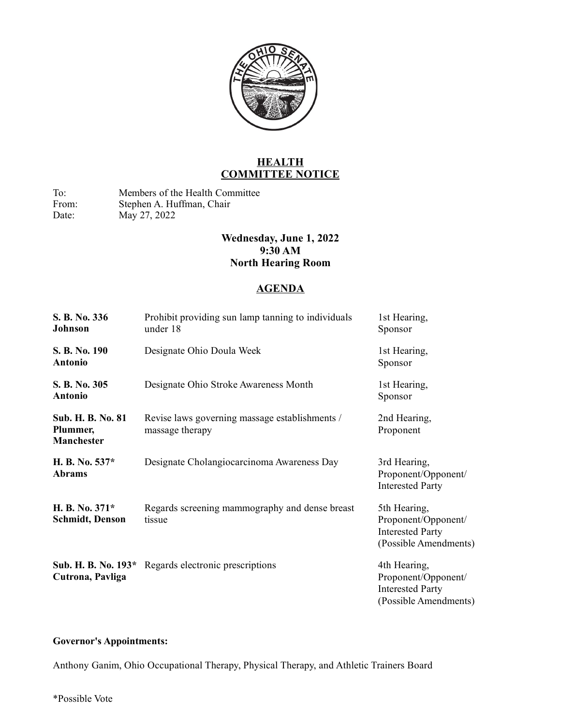

## **HEALTH COMMITTEE NOTICE**

To: Members of the Health Committee<br>From: Stephen A. Huffman, Chair Stephen A. Huffman, Chair Date: May 27, 2022

## **Wednesday, June 1, 2022 9:30 AM North Hearing Room**

## **AGENDA**

| S. B. No. 336<br>Johnson                           | Prohibit providing sun lamp tanning to individuals<br>under 18    | 1st Hearing,<br>Sponsor                                                                 |
|----------------------------------------------------|-------------------------------------------------------------------|-----------------------------------------------------------------------------------------|
| S. B. No. 190<br><b>Antonio</b>                    | Designate Ohio Doula Week                                         | 1st Hearing,<br>Sponsor                                                                 |
| S. B. No. 305<br><b>Antonio</b>                    | Designate Ohio Stroke Awareness Month                             | 1st Hearing,<br>Sponsor                                                                 |
| Sub. H. B. No. 81<br>Plummer,<br><b>Manchester</b> | Revise laws governing massage establishments /<br>massage therapy | 2nd Hearing,<br>Proponent                                                               |
| H. B. No. 537*<br><b>Abrams</b>                    | Designate Cholangiocarcinoma Awareness Day                        | 3rd Hearing,<br>Proponent/Opponent/<br><b>Interested Party</b>                          |
| H. B. No. 371*<br><b>Schmidt, Denson</b>           | Regards screening mammography and dense breast<br>tissue          | 5th Hearing,<br>Proponent/Opponent/<br><b>Interested Party</b><br>(Possible Amendments) |
| Cutrona, Pavliga                                   | Sub. H. B. No. 193* Regards electronic prescriptions              | 4th Hearing,<br>Proponent/Opponent/<br><b>Interested Party</b><br>(Possible Amendments) |

## **Governor's Appointments:**

Anthony Ganim, Ohio Occupational Therapy, Physical Therapy, and Athletic Trainers Board